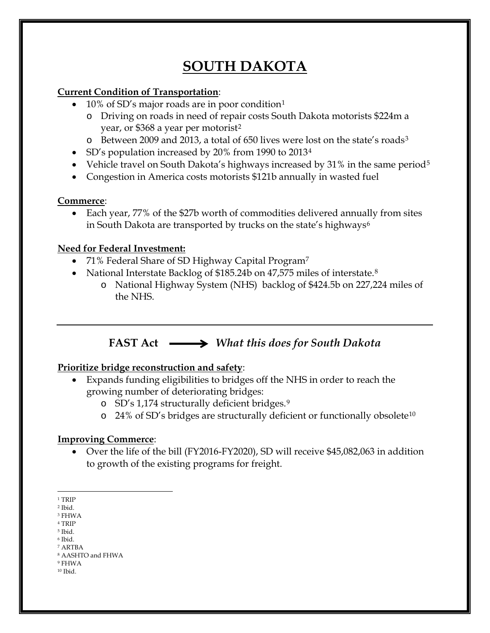# **SOUTH DAKOTA**

### **Current Condition of Transportation**:

- [1](#page-0-0)0% of SD's major roads are in poor condition<sup>1</sup>
	- o Driving on roads in need of repair costs South Dakota motorists \$224m a year, or \$368 a year per motorist<sup>[2](#page-0-1)</sup>
	- o Between 2009 and 2013, a total of 650 lives were lost on the state's roads[3](#page-0-2)
- SD's population increased by 20% from 1990 to 2013[4](#page-0-3)
- Vehicle travel on South Dakota's highways increased by 31% in the same period<sup>[5](#page-0-4)</sup>
- Congestion in America costs motorists \$121b annually in wasted fuel

#### **Commerce**:

• Each year, 77% of the \$27b worth of commodities delivered annually from sites in South Dakota are transported by trucks on the state's highways<sup>[6](#page-0-5)</sup>

### **Need for Federal Investment:**

- [7](#page-0-6)1% Federal Share of SD Highway Capital Program<sup>7</sup>
- National Interstate Backlog of \$1[8](#page-0-7)5.24b on 47,575 miles of interstate.<sup>8</sup>
	- o National Highway System (NHS) backlog of \$424.5b on 227,224 miles of the NHS.

## **FAST Act** *What this does for South Dakota*

### **Prioritize bridge reconstruction and safety**:

- Expands funding eligibilities to bridges off the NHS in order to reach the growing number of deteriorating bridges:
	- o SD's 1,174 structurally deficient bridges.[9](#page-0-8)
	- o 24% of SD's bridges are structurally deficient or functionally obsolete[10](#page-0-9)

### **Improving Commerce**:

• Over the life of the bill (FY2016-FY2020), SD will receive \$45,082,063 in addition to growth of the existing programs for freight.

<span id="page-0-4"></span><sup>5</sup> Ibid. <sup>6</sup> Ibid.

 $\overline{a}$ <sup>1</sup> TRIP

<span id="page-0-1"></span><span id="page-0-0"></span><sup>2</sup> Ibid.

<span id="page-0-2"></span><sup>3</sup> FHWA

<span id="page-0-3"></span><sup>4</sup> TRIP

<span id="page-0-6"></span><span id="page-0-5"></span><sup>7</sup> ARTBA

<sup>8</sup> AASHTO and FHWA

<span id="page-0-9"></span><span id="page-0-8"></span><span id="page-0-7"></span><sup>9</sup> FHWA  $^{10}$  Ibid.  $\,$